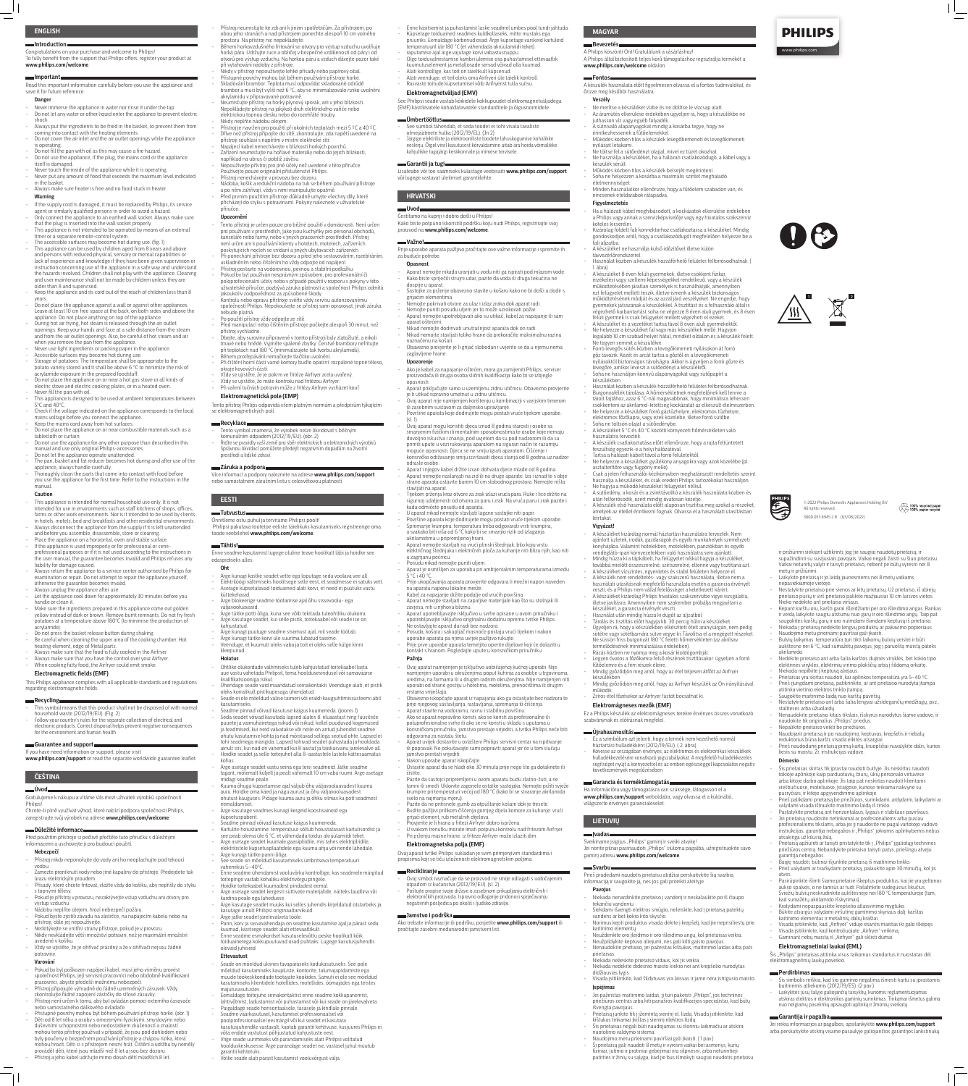### **ENGLISH**

# **Introduction**

Congratulations on your purchase and welcome to Philips! To fully benefit from the support that Philips offers, register your product at **www.philips.com/welcome**.

#### **Important**

Read this important information carefully before you use the appliance and save it for future reference.

#### **Danger**

- Never immerse the appliance in water nor rinse it under the tap. - Do not let any water or other liquid enter the appliance to prevent electric
- shock. Always put the ingredients to be fried in the basket, to prevent them from
- coming into contact with the heating elements. - Do not cover the air inlet and the air outlet openings while the appliance is operating.
- Do not fill the pan with oil as this may cause a fire hazard.
- Do not use the appliance, if the plug, the mains cord or the appliance
- itself is damaged. Never touch the inside of the appliance while it is operating.
- Never put any amount of food that exceeds the maximum level indicated in the basket.
- Always make sure heater is free and no food stuck in heater. **Warning**

### - If the supply cord is damaged, it must be replaced by Philips, its service agent or similarly qualified persons in order to avoid a hazard.

- This appliance is intended for normal household use only. It is not intended for use in environments such as staff kitchens of shops, offices, farms or other work environments. Nor is it intended to be used by clients in hotels, motels, bed and breakfasts and other residential environments. Always disconnect the appliance from the supply if it is left unattended
- and before you assemble, disassemble, store or cleaning. Place the appliance on a horizontal, even and stable surface.
- If the appliance is used improperly or for professional or semi-
- professional purposes or if it is not used according to the instructions in the user manual, the guarantee becomes invalid and Philips refuses any

- liability for damage caused. Always return the appliance to a service center authorised by Philips for
- examination or repair. Do not attempt to repair the appliance yourself, otherwise the guarantee becomes invalid.
- Always unplug the appliance after use. Let the appliance cool down for approximately 30 minutes before you
- handle or clean it.
- Make sure the ingredients prepared in this appliance come out golden yellow instead of dark or brown. Remove burnt remnants. Do not fry fresh potatoes at a temperature above 180°C (to minimise the production of acrylamide).
- Do not press the basket release button during shaking.
- Be careful when cleaning the upper area of the cooking chamber: Hot heating element, edge of Metal parts.
- Always make sure that the food is fully cooked in the Airfryer.
- Always make sure that you have the control over your Airfryer. When cooking fatty food, the Airfryer could emit smoke.
- Only connect the appliance to an earthed wall socket. Always make sure
- that the plug is inserted into the wall socket properly. This appliance is not intended to be operated by means of an external timer or a separate remote-control system.
- The accessible surfaces may become hot during use. (fig. 1) - This appliance can be used by children aged from 8 years and above and persons with reduced physical, sensory or mental capabilities or lack of experience and knowledge if they have been given supervision or instruction concerning use of the appliance in a safe way and understand the hazards involved. Children shall not play with the appliance. Cleaning and user maintenance shall not be made by children unless they are older than 8 and supervised.
- Keep the appliance and its cord out of the reach of children less than 8 years.
- Do not place the appliance against a wall or against other appliances. Leave at least 10 cm free space at the back, on both sides and above the appliance. Do not place anything on top of the appliance.
- During hot air frying, hot steam is released through the air outlet openings. Keep your hands and face at a safe distance from the steam and from the air outlet openings. Also, be careful of hot steam and air when you remove the pan from the appliance.
- Never use light ingredients or packing paper in the appliance.
- Accessible surfaces may become hot during use.
- Storage of potatoes: The temperature shall be appropriate to the potato variety stored and it shall be above 6 °C to minimize the risk of acrylamide exposure in the prepared foodstuff.
- Do not place the appliance on or near a hot gas stove or all kinds of electric stove and electric cooking plates, or in a heated oven.
- Never fill the pan with oil. This appliance is designed to be used at ambient temperatures between
- $5^{\circ}$ C and  $40^{\circ}$ C. - Check if the voltage indicated on the appliance corresponds to the local
- mains voltage before you connect the appliance. Keep the mains cord away from hot surfaces.
- Do not place the appliance on or near combustible materials such as a
- tablecloth or curtain. - Do not use the appliance for any other purpose than described in this
- manual and use only original Philips-accessories. - Do not let the appliance operate unattended.
- The pan, basket and fat reducer becomes hot during and after use of the appliance, always handle carefully.
- Thoroughly clean the parts that come into contact with food before you use the appliance for the first time. Refer to the instructions in the manual.

- Pokud by byl poškozen napájecí kabel, musí jeho výměnu provést společnost Philips, její servisní pracovníci nebo obdobně kvalifikovaní pracovníci, abyste předešli možnému nebezpečí.
- Přístroj připojujte výhradně do řádně uzemněných zásuvek. Vždy zkontrolujte řádné zapojení zástrčky do síťové zásuvky.
- Přístroj není určen k tomu, aby byl ovládán pomocí externího časovače nebo samostatného dálkového ovladače.
- Přístupné povrchy mohou být během používání přístroje horké. (obr. 1) - Děti od 8 let věku a osoby s omezenými fyzickými, smyslovými nebo duševními schopnostmi nebo nedostatkem zkušeností a znalostí mohou tento přístroj používat v případě, že jsou pod dohledem nebo byly poučeny o bezpečném používání přístroje a chápou rizika, která mohou hrozit. Děti si s přístrojem nesmí hrát. Čištění a údržbu by neměly provádět děti, které jsou mladší než 8 let a jsou bez dozoru. Přístroj a jeho kabel udržujte mimo dosah dětí mladších 8 let.

#### **Caution**

## **Electromagnetic fields (EMF)**

This Philips appliance complies with all applicable standards and regulations regarding electromagnetic fields.

### **Recycling**

- This symbol means that this product shall not be disposed of with normal household waste (2012/19/EU). (Fig. 2)
- Follow your country's rules for the separate collection of electrical and electronic products. Correct disposal helps prevent negative consequences for the environment and human health.

### **Guarantee and support**

If you have need information or support, please visit **www.philips.com/support** or read the separate worldwide guarantee leaflet.

### **ČEŠTINA**

### **Úvod**

Gratulujeme k nákupu a vítáme Vás mezi uživateli výrobků společnosti Philips!

Chcete-li plně využívat výhod, které nabízí podpora společnosti Philips, zaregistrujte svůj výrobek na adrese **www.philips.com/welcome**.

### **Důležité informace**

Před použitím přístroje si pečlivě přečtěte tuto příručku s důležitými informacemi a uschovejte ji pro budoucí použití.

### **Nebezpečí**

- Přístroj nikdy neponořujte do vody ani ho neoplachujte pod tekoucí vodou.
- Zamezte proniknutí vody nebo jiné kapaliny do přístroje. Předejdete tak úrazu elektrickým proudem.
- Přísady, které chcete fritovat, vložte vždy do košíku, aby nepřišly do styku s topnými tělesy.
- Pokud je přístroj v provozu, nezakrývejte vstup vzduchu ani otvory pro výstup vzduchu.
- Nádobu neplňte olejem, hrozí nebezpečí požáru.
- Pokud byste zjistili závadu na zástrčce, na napájecím kabelu nebo na přístroji, dále jej nepoužívejte.
- Nedotýkejte se vnitřní strany přístroje, pokud je v provozu.
- Nikdy nevkládejte větší množství potravin, než je maximální množství uvedené v košíku.
- Vždy se ujistěte, že je ohřívač prázdný a že v ohřívači nejsou žádné potraviny.

### **Varování**

- Přístroj neumisťujte ke zdi ani k jiným spotřebičům. Za přístrojem, po obou jeho stranách a nad přístrojem ponechte alespoň 10 cm volného prostoru. Na přístroj nic nepokládejte.
- Během horkovzdušného fritování se otvory pro výstup vzduchu uvolňuje horká pára. Udržujte ruce a obličej v bezpečné vzdálenosti od páry i od otvorů pro výstup vzduchu. Na horkou páru a vzduch dávejte pozor také při vytahování nádoby z přístroje.
- Nikdy v přístroji nepoužívejte lehké přísady nebo papírový obal. - Přístupné povrchy mohou být během používání přístroje horké. - Skladování brambor: Teplota musí odpovídat skladované odrůdě
- brambor a musí být vyšší než 6 °C, aby se minimalizovalo riziko uvolnění akrylamidu v připravované potravině.
- Neumisťujte přístroj na horký plynový sporák, ani v jeho blízkosti. Nepokládejte přístroj na jakýkoli druh elektrického vařiče nebo
- elektrickou topnou desku nebo do rozehřáté trouby.
- Nikdy neplňte nádobu olejem.
- Přístroj je navržen pro použití při okolních teplotách mezi 5 °C a 40 °C. - Dříve než přístroj připojíte do sítě, zkontrolujte, zda napětí uvedené na přístroji souhlasí s napětím v místní elektrické síti.
- Napájecí kabel nenechávejte v blízkosti horkých povrchů. - Zařízení neumisťujte na hořlavé materiály nebo do jejich blízkosti,
- například na ubrus či poblíž závěsu.
- Nepoužívejte přístroj pro jiné účely než uvedené v této příručce.
- Používejte pouze originální příslušenství Philips. - Přístroj nenechávejte v provozu bez dozoru.
- Nádoba, košík a redukční nádoba na tuk se během používání přístroje
- a po něm zahřívají, vždy s nimi manipulujte opatrně.
- Před prvním použitím přístroje důkladně umyjte všechny díly, které přicházejí do styku s potravinami. Pokyny naleznete v uživatelské
- příručce.

### **Upozornění**

- Tento přístroj je určen pouze pro běžné použití v domácnosti. Není určen pro používání v prostředích, jako jsou kuchyňky pro personál obchodů, kanceláře nebo farmy, nebo v jiných pracovních prostředích. Přístroj není určen ani k používání klienty v hotelech, motelech, zařízeních poskytujících nocleh se snídaní a jiných ubytovacích zařízeních. - Při ponechání přístroje bez dozoru a před jeho sestavováním, rozebíráním,
- uskladněním nebo čištěním ho vždy odpojte od napájení. - Přístroj postavte na vodorovnou, pevnou a stabilní podložku. - Pokud by byl používán nesprávným způsobem, pro profesionální či
- poloprofesionální účely nebo v případě použití v rozporu s pokyny v této uživatelské příručce, pozbývá záruka platnosti a společnost Philips odmítá jakoukoliv zodpovědnost za způsobené škody. - Kontrolu nebo opravu přístroje svěřte vždy servisu autorizovanému
- společností Philips. Nepokoušejte se přístroj sami opravovat, jinak záruka nebude platná.
- Po použití přístroj vždy odpojte ze sítě.
- Před manipulací nebo čištěním přístroje počkejte alespoň 30 minut, než přístroj vychladne.
- Dbejte, aby suroviny připravené v tomto přístroji byly zlatožluté, a nikoli tmavé nebo hnědé. Vyjměte spálené zbytky. Čerstvé brambory nefritujte při teplotách nad 180 °C (minimalizujete tak tvorbu akrylamidů).
- Během protřepávání nemačkejte tlačítko uvolnění. - Při čištění horní části varné komory buďte opatrní: rozpálené topné těleso, okraje kovových částí.
- Vždy se ujistěte, že je pokrm ve fritéze Airfryer zcela uvařený. - Ako je kabel za napajanje oštećen, mora ga zamijeniti Philips, serviser proizvođača ili druga osoba sličnih kvalifikacija kako bi se izbjegle opasnosti
- Vždy se ujistěte, že máte kontrolu nad fritézou Airfryer. - Při vaření tučných potravin může z fritézy Airfryer vycházet kouř.

### **Elektromagnetická pole (EMP)**

Tento přístroj Philips odpovídá všem platným normám a předpisům týkajícím se elektromagnetických polí.

#### **Recyklace**

- Tento symbol znamená, že výrobek nelze likvidovat s běžným komunálním odpadem (2012/19/EU). (obr. 2)
- Řiďte se pravidly vaší země pro sběr elektrických a elektronických výrobků. Správnou likvidací pomůžete předejít negativním dopadům na životní prostředí a lidské zdraví.

### **Záruka a podpora**

Více informací a podpory naleznete na adrese **www.philips.com/support** nebo samostatném záručním listu s celosvětovou platností.

### **EESTI**

- **Tutvustus**
- Õnnitleme ostu puhul ja tervitame Philipsi poolt! Philipsi pakutava tootetoe eeliste täielikuks kasutamiseks registreerige oma toode veebilehel **www.philips.com/welcome**.

#### **Tähtis!**

Enne seadme kasutamist lugege oluline teave hoolikalt läbi ja hoidke see edaspidiseks alles.

- **Oht**
- Ärge kunagi kastke seadet vette ega loputage seda voolava vee all. - Elektrilöögi vältimiseks hoolitsege selle eest, et seadmesse ei satuks vett.
- Asetage küpsetatavad toiduained alati korvi, et need ei puutuks vastu küttekehasid.
- Ärge blokeerige seadme töötamise ajal õhu sissevoolu- ega väljavooluavasid.
- Ärge täitke potti õliga, kuna see võib tekitada tuleohtliku olukorra. - Ärge kasutage seadet, kui selle pistik, toitekaabel või seade ise on
- kahjustatud
- Ärge kunagi puutuge seadme sisemust ajal, mil seade töötab. - Ärge kunagi täitke korvi üle suurima lubatud taseme.
- Veenduge, et kuumuti oleks vaba ja toit ei oleks selle külge kinni
- kleepunud.

A készüléket 8 éven felüli gyermekek, illetve csökkent fizikai érzékelési vagy szellemi képességekkel rendelkező, vagy a készülék működtetésében járatlan személyek is használhatják, amennyiben ezt felügyelet mellett teszik, illetve ismerik a készülék biztonságos működtetésének módját és az azzal járó veszélyeket. Ne engedje, hogy gyermekek játsszanak a készülékkel. A tisztítást és a felhasználó által is végezhető karbantartást soha ne végezze 8 éven aluli gyermek, és 8 éven

### **Hoiatus**

- Ohtlike olukordade vältimiseks tuleb kahjustatud toitekaabel lasta uue vastu vahetada Philipsil, tema hooldusesindusel või samaväärse kvalifikatsiooniga isikul.
- Ühendage seade vaid maandatud seinakontakti. Veenduge alati, et pistik oleks korralikult pistikupesaga ühendatud. - Seade ei ole mõeldud välise taimeri või eraldi kaugjuhtimissüsteemi abil
- kasutamiseks. - Seadme pinnad võivad kasutuse käigus kuumeneda. (joonis 1) - Seda seadet võivad kasutada lapsed alates 8. eluaastast ning füüsiliste puuete ja vaimuhäiretega isikud või isikud, kellel puuduvad kogemused ja teadmised, kui neid valvatakse või neile on antud juhendid seadme ohutu kasutamise kohta ja nad mõistavad sellega seotud ohte. Lapsed ei tohi seadmega mängida. Lapsed tohivad seadet puhastada ja hooldada ainult siis, kui nad on vanemad kui 8 aastat ja täiskasvanu järelevalve all.
- Hoidke seadet ja selle toitejuhet alla 8-aastastele lastele kättesaamatus kohas. - Ärge asetage seadet vastu seina ega teisi seadmeid. Jätke seadme
- tagant, mõlemalt küljelt ja pealt vähemalt 10 cm vaba ruumi. Ärge asetage midagi seadme peale. - Kuuma õhuga küpsetamise ajal väljub õhu väljavooluavadest kuuma
- auru. Hoidke oma käed ja nägu aurust ja õhu väljavooluavadest ohutust kauguses. Pidage kuuma auru ja õhku silmas ka poti seadmest eemaldamisel.
- Ärge kasutage seadmes kunagi kergeid koostisaineid ega küpsetuspaberit.
- Seadme pinnad võivad kasutuse käigus kuumeneda. - Kartulite hoiustamine: temperatuur sõltub hoiustatavast kartulisordist ja
- see peab olema üle 6 °C, et vähendada toidus akrüülamiidi teket.
- Ärge asetage seadet kuumale gaasipliidile, mis tahes elektripliidile, elektrilistele küpsetusplaatidele ega kuuma ahju või nende lähedale. - Ärge kunagi täitke panni õliga.
- See seade on mõeldud kasutamiseks ümbritseva temperatuuri vahemikus 5–40°C.
- Enne seadme ühendamist vooluvõrku kontrollige, kas seadmele märgitud toitepinge vastab kohaliku elektrivõrgu pingele.
- Hoidke toitekaabel kuumadest pindadest eemal.
- Ärge asetage seadet kergesti süttivate materjalide, näiteks laudlina või kardina peale ega lähedusse.
- Ärge kasutage seadet muuks kui selles juhendis kirjeldatud otstarbeks ja kasutage ainult Philipsi originaaltarvikuid.
- Ärge jätke seadet järelevalveta tööle.
- Pann, korv ja rasvavähendaja on seadme kasutamise ajal ja pärast seda kuumad, käsitsege seadet alati ettevaatlikult.
- Enne seadme esmakordset kasutuselevõttu peske hoolikalt kõik toiduainetega kokkupuutuvad osad puhtaks. Lugege kasutusjuhendis olevaid juhiseid.

### **Ettevaatust**

- Jei pažeistas maitinimo laidas, jį turi pakeisti "Philips", jos techninės priežiūros centras arba kiti panašios kvalifikacijos specialistai, kad būtų

- Seade on mõeldud üksnes tavapäraseks kodukasutuseks. See pole mõeldud kasutamiseks kaupluste, kontorite, talumajapidamiste ega muude töökeskkondade töötajate köökides. Samuti ei ole see mõeldud kasutamiseks klientidele hotellides, motellides, öömajades ega teistes majutusasutustes.
- Eemaldage toitejuhe seinakontaktist enne seadme kokkupanemist,
- lahtivõtmist, ladustamist või puhastamist või kui seade on järelevalveta. - Paigaldage seade horisontaalsele, tasasele ja kindlale pinnale.
- Seadme väärkasutusel, kasutamisel professionaalsel või
- poolprofessionaalsel eesmärgil või kui seadet ei kasutata
- kasutusjuhendile vastavalt, kaotab garantii kehtivuse, kusjuures Philips ei
- võta endale vastutust põhjustatud kahjustuste eest.
- Viige seade uurimiseks või parandamiseks alati Philipsi volitatud
- hoolduskeskusesse. Ärge parandage seadet ise, vastasel juhul muutub garantii kehtetuks.
- Võtke seade alati pärast kasutamist vooluvõrgust välja.

Posudu nikad nemojte

- Enne käsitsemist ja puhastamist laske seadmel umbes pool tundi jahtuda. - Küpsetage toiduained seadmes kuldkollaseks, mitte mustaks ega

> naudokite tik originalius "Philips" priedus. - Nepalikite prietaiso veikti be priežiūros.

- pruuniks. Eemaldage kõrbenud osad. Ärge küpsetage värskeid kartuleid temperatuuril üle 180 °C (et vähendada akrüülamiidi teket).
- raputamise ajal ärge vajutage korvi vabastusnuppu. - Olge toiduvalmistamise kambri ülemise osa puhastamisel ettevaatlik: kuumutuselement ja metallosade servad võivad olla kuumad.
- Alati kontrollige, kas toit on täielikult küpsenud.
- Alati veenduge, et teil oleks oma Airfryeri üle täielik kontroll.
- Rasvaste toitude küpsetamisel võib Arifryerist tulla suitsu.

Šis prietaisas skirtas tik įprastai naudoti buityje. Jis neskirtas naudoti tokioje aplinkoje kaip parduotuvių, biurų, ūkių personalo virtuvėse arba kitoje darbo aplinkoje. Jis taip pat neskirtas naudoti klientams viešbučiuose, moteliuose, įstaigose, kuriose teikiama nakvynė su

Pastatykite prietaisą ant horizontalaus, lygaus ir stabilaus paviršiaus. - Jei prietaisą naudosite netinkamai ar profesionaliems arba pusiau profesionaliems tikslams, arba jei jį naudosite ne pagal vartotojo vadovo instrukcijas, garantija nebegalios ir "Philips" jokiomis aplinkybėmis nebus

### **Elektromagnetväljad (EMV)**

See Philipsi seade vastab kõikidele kokkupuudet elektromagnetväljadega (EMF) käsitlevatele kohaldatavatele standarditele ja õigusnormidele.

#### **Ümbertöötlus**

Prietaisą apžiūrėti ar taisyti pristatykite tik į "Philips" įgaliotąjį techninės priežiūros centrą. Nebandykite prietaiso taisyti patys, priešingu atveju

- See sümbol tähendab, et seda toodet ei tohi visata tavaliste olmejäätmete hulka (2012/19/EL). (Jn 2)
- Järgige elektriliste ja elektrooniliste toodete lahuskogumise kohalikke eeskirju. Õigel viisil kasutusest kõrvaldamine aitab ära hoida võimalikke kahjulikke tagajärgi keskkonnale ja inimese tervisele.

#### **Garantii ja tugi**

Lisateabe või toe saamiseks külastage veebisaiti **www.philips.com/support** või lugege vastavat üleilmset garantiilehte.

### **HRVATSKI**

### **Uvod**

Čestitamo na kupnji i dobro došli u Philips! Kako biste potpuno iskoristili podršku koju nudi Philips, registrirajte svoj proizvod na **www.philips.com/welcome**.

#### **Važno!**

Prije uporabe aparata pažljivo pročitajte ove važne informacije i spremite ih za buduće potrebe.

#### **Opasnost**

- Aparat nemojte nikada uranjati u vodu niti ga ispirati pod mlazom vode. - Kako biste spriječili strujni udar, pazite da voda ili druga tekućina ne dospije u aparat.
- Sastojke za prženje obavezno stavite u košaru kako ne bi došli u dodir s grijaćim elementima.

- Nemojte pokrivati otvore za ulaz i izlaz zraka dok aparat radi. Nemojte puniti posudu uljem jer to može uzrokovati požar. - Aparat nemojte upotrebljavati ako su utikač, kabel za napajanje ili sam

aparat oštećeni.

- Nikad nemojte dodirivati unutrašnjost aparata dok on radi.

- Nikad nemojte stavljati toliko hrane da prekoračite maksimalnu razinu

naznačenu na košari.

- Obavezno provjerite je li grijač slobodan i uvjerite se da u njemu nema

zaglavljene hrane. **Upozorenje**

- Aparat priključujte samo u uzemljenu zidnu utičnicu. Obavezno provjerite

je li utikač ispravno umetnut u zidnu utičnicu.

- Ovaj aparat nije namijenjen korištenju u kombinaciji s vanjskim timerom

ili zasebnim sustavom za daljinsko upravljanje.

- Površine aparata koje dodirujete mogu postati vruće tijekom uporabe.

(sl. 1)

- Ovaj aparat mogu koristiti djeca iznad 8 godina starosti i osobe sa smanjenim fizičkim ili mentalnim sposobnostima te osobe koje nemaju dovoljno iskustva i znanja, pod uvjetom da su pod nadzorom ili da su primili upute u vezi rukovanja aparatom na siguran način te razumiju moguće opasnosti. Djeca se ne smiju igrati aparatom. Čišćenje i

korisničko održavanje smiju izvršavati djeca starija od 8 godina uz nadzor

odrasle osobe.

- Aparat i njegov kabel držite izvan dohvata djece mlađe od 8 godina. - Aparat nemojte naslanjati na zid ili na druge aparate. Iza i iznad te s obje strane aparata ostavite barem 10 cm slobodnog prostora. Nemojte ništa

stavljati na aparat.

- Tijekom prženja kroz otvore za zrak izlazi vruća para. Ruke i lice držite na sigurnoj udaljenosti od otvora za paru i zrak. Na vruću paru i zrak pazite i

kada odmičete posudu od aparata.

- U aparat nikad nemojte stavljati lagane sastojke niti papir.

- Površine aparata koje dodirujete mogu postati vruće tijekom uporabe. - Spremanje krumpira: temperatura treba odgovarati vrsti krumpira, a svakako biti viša od 6 °C kako bi se smanjio rizik od izlaganja

akrilamidima u pripremljenoj hrani.

- Aparat nemojte stavljati na vrući plinski štednjak, bilo koju vrstu

električnog štednjaka i električnih ploča za kuhanje niti blizu njih, kao niti

u zagrijanu pećnicu.

- Aparat je osmišljen za uporabu pri ambijentalnim temperaturama između 5 °C i 40 °C.

- Prije ukopčavanja aparata provjerite odgovara li mrežni napon naveden na aparatu naponu lokalne mreže.

- Kabel za napajanje držite podalje od vrućih površina.
	- Aparat nemojte stavljati na zapaljive materijale kao što su stolnjak ili zavjesa, niti u njihovu blizinu.
	- Aparat upotrebljavajte isključivo u svrhe opisane u ovom priručniku i upotrebljavajte isključivo originalnu dodatnu opremu tvrtke Philips.
	- Ne ostavljajte aparat da radi bez nadzora. - Posuda, košara i sakupljač masnoće postaju vrući tijekom i nakon
	- uporabe aparata pa njima uvijek pažljivo rukujte.
	- Prije prve uporabe aparata temeljito operite dijelove koji će dolaziti u kontakt s hranom. Pogledajte upute u korisničkom priručniku.

### **Pažnja**

- Ovaj aparat namijenjen je isključivo uobičajenoj kućnoj uporabi. Nije namijenjen uporabi u okruženjima poput kuhinja za osoblje u trgovinama, uredima, na farmama ili u drugim radnim okruženjima. Nije namijenjen niti uporabi od strane gostiju u hotelima, motelima, prenoćištima ili drugim vrstama smještaja.
- Obavezno iskopčajte aparat iz napajanja ako ga ostavljate bez nadzora te prije njegovog sastavljanja, rastavljanja, spremanja ili čišćenja.
- Aparat stavite na vodoravnu, ravnu i stabilnu površinu. - Ako se aparat nepravilno koristi, ako se koristi za profesionalne ili poluprofesionalne svrhe ili ako se ne koristi u skladu s uputama u korisničkom priručniku, jamstvo prestaje vrijediti, a tvrtka Philips neće biti odgovorna za nastalu štetu.
- Aparat uvijek dostavite u ovlašteni Philips servisni centar na ispitivanje ili popravak. Ne pokušavajte sami popraviti aparat jer će u tom slučaju jamstvo prestati vrijediti.
- Nakon uporabe aparat iskopčajte.
- Ostavite aparat da se hladi oko 30 minuta prije nego što ga dotaknete ili čistite.
- Pazite da sastojci pripremljeni u ovom aparatu budu zlatno-žuti, a ne tamni ili smeđi. Uklonite zagorjele ostatke sastojaka. Nemojte pržiti svježe krumpire pri temperaturi većoj od 180 °C (kako bi se stvaranje akrilamida svelo na najmanju mjeru).
- Pazite da ne pritisnete gumb za otpuštanje košare dok je tresete. - Budite pažljivi prilikom čišćenja gornjeg dijela komore za kuhanje: vrući grijaći element, rub metalnih dijelova.
- Provjerite je li hrana u fritezi Airfryer dobro ispržena.
- U svakom trenutku morate imati potpunu kontrolu nad fritezom Airfryer. - Pri prženju masne hrane, iz friteze Airfryer može izlaziti dim.

### **Elektromagnetska polja (EMF)**

Ovaj aparat tvrtke Philips sukladan je svim primjenjivim standardima i propisima koji se tiču izloženosti elektromagnetskim poljima.

#### **Recikliranje**

- Ovaj simbol naznačuje da se proizvod ne smije odlagati s uobičajenim otpadom iz kućanstva (2012/19/EU). (sl. 2) - Poštujte propise svoje države o zasebnom prikupljanju električnih i

elektroničkih proizvoda. Ispravno odlaganje pridonosi sprječavanju

negativnih posljedica po okoliš i ljudsko zdravlje.

**Jamstvo i podrška**

Ako trebate informacije ili podršku, posjetite **www.philips.com/support** ili

pročitajte zasebni međunarodni jamstveni list.

**MAGYAR**

**Bevezetés**

A Philips köszönti Önt! Gratulálunk a vásárláshoz!

A Philips által biztosított teljes körű támogatáshoz regisztrálja termékét a

**www.philips.com/welcome** oldalon.

**Fontos**

A készülék használata előtt figyelmesen olvassa el a fontos tudnivalókat, és

őrizze meg későbbi használatra.

**Veszély**

- Ne merítse a készüléket vízbe és ne öblítse le vízcsap alatt.

- Az áramütés elkerülése érdekében ügyeljen rá, hogy a készülékbe ne

juthasson víz vagy egyéb folyadék.

- A sütnivaló alapanyagokat mindig a kosárba tegye, hogy ne

érintkezhessenek a fűtőelemekkel.

- Működés közben tilos a készülék levegőbemeneti és levegőkimeneti

nyílásait letakarni.

- Ne töltse fel a sütőedényt olajjal, mivel ez tüzet okozhat.

- Ne használja a készüléket, ha a hálózati csatlakozódugó, a kábel vagy a

Minden használatkor ellenőrizze, hogy a fűtőelem szabadon van, és

készülék sérült.

- Működés közben tilos a készülék belsejét megérinteni. - Soha ne helyezzen a kosárba a maximális szintet meghaladó

ételmennyiséget.

nincsenek ételdarabok rátapadva.

**Figyelmeztetés**

- Ha a hálózati kábel meghibásodott, a kockázatok elkerülése érdekében a Philips vagy annak a szervizképviselője vagy egy hivatalos szakszerviz

köteles kicserélni.

- Kizárólag földelt fali konnektorhoz csatlakoztassa a készüléket. Mindig gondoskodjon arról, hogy a csatlakozódugót megfelelően helyezze be a

- A készüléket ne használja külső időzítővel illetve külön

távvezérlőrendszerrel.

- Használat közben a készülék hozzáférhető felületei felforrósodhatnak. (

1  $\sim$   $\sqrt{2}$ 

1. ábra)

felüli gyermek is csak felügyelet mellett végezheti el ezeket. - A készüléket és a vezetéket tartsa távol 8 éven aluli gyermekektől. - Ne helyezze a készüléket fal vagy más készülékek mellé. Hagyjon legalább 10 cm szabad helyet hátul, mindkét oldalon és a készülék felett.

Ne tegyen semmit a készülékre.

- Forró levegős sütés közben a levegőkimeneti nyílásokon át forró gőz távozik. Kezét és arcát tartsa a gőztől és a levegőkimeneti nyílásoktól biztonságos távolságra. Akkor is ügyeljen a forró gőzre és

levegőre, amikor leveszi a sütőedényt a készülékről. - Soha ne használjon könnyű alapanyagokat vagy sütőpapírt a

készülékben.

fali alizatba.

- Használat közben a készülék hozzáférhető felületei felforrósodhatnak. - Burgonyafélék tárolása: A hőmérsékletnek megfelelőnek kell lennie a tárolt fajtához, azaz 6 °C-nál magasabbnak, hogy minimálisra lehessen csökkenteni az akrilamid-kitettség kockázatát az elkészült élelmiszerben. - Ne helyezze a készüléket forró gáztűzhelyre, elektromos tűzhelyre, elektromos főzőlapra, vagy ezek közelébe, illetve forró sütőbe.

- Soha ne töltsön olajat a sütőedénybe.

- A készüléket 5 °C és 40 °C közötti környezeti hőmérsékleten való

használatra tervezték.

- A készülék csatlakoztatása előtt ellenőrizze, hogy a rajta feltüntetett

feszültség egyezik-e a helyi hálózatéval. - Tartsa a hálózati kábelt távol a forró felületektől.

- Ne helyezze a készüléket gyúlékony anyagokra vagy azok közelébe (pl.

asztalterítőre vagy függöny mellé).

- Csak a jelen felhasználói kézikönyvben meghatározott rendeltetés szerint használja a készüléket, és csak eredeti Philips tartozékokat használjon.

- Ne hagyja a működő készüléket felügyelet nélkül.

- A sütőedény, a kosár és a zsíreltávolító a készülék használata közben és

után felforrósodik, ezért mindig óvatosan kezelje.

- A készülék első használata előtt alaposan tisztítsa meg azokat a részeket, amelyek az étellel érintkezni fognak. Olvassa el a használati utasításban

leírtakat. **Vigyázat!**

- A készüléket kizárólag normál háztartási használatra tervezték. Nem ajánlott üzletek, irodák, gazdaságok és egyéb munkahelyek személyzeti konyhájába. Valamint hotelekben, motelekben, panziókban és egyéb vendéglátó-ipari környezetekben való használatra sem ajánlott. Mindig húzza ki a tápkábelt, ha felügyelet nélkül hagyja a készüléket továbbá mielőtt összeszerelné, szétszerelné, eltenné vagy tisztítaná azt. - A készüléket vízszintes, egyenletes és stabil felületen helyezze el. - A készülék nem rendeltetés- vagy szakszerű használata, illetve nem a használati utasításnak megfelelő használata esetén a garancia érvényét

veszti, és a Philips nem vállal felelősséget a keletkezett kárért. - A készüléket kizárólag Philips hivatalos szakszervizbe vigye vizsgálatra, illetve javításra. Amennyiben nem szakember próbálja megjavítani a

készüléket, a garancia érvényét veszti.

- Használat után mindig húzza ki dugót az aljzatból.

- Tárolás és tisztítás előtt hagyja kb. 30 percig hűlni a készüléket. - Ügyeljen rá, hogy a készülékben elkészített ételt aranysárgán, nem pedig sötétre vagy sötétbarnára sütve vegye ki. Távolítsa el a megégett részeket. Ne süssön friss burgonyát 180 °C feletti hőmérsékleten (az akrilsav

termelődésének minimalizálása érdekében). - Rázás közben ne nyomja meg a kosár kioldógombját.

- Legyen óvatos a főzőkamra felső részének tisztításakor: ügyeljen a forró

fűtőelemre és a fém részek éleire.

- Mindig győződjön meg arról, hogy az étel teljesen átfőtt az Airfryer

készülékben.

- Mindig győződjön meg arról, hogy az Airfryer készülék az Ön irányításával

működik.

- Zsíros étel főzésekor az Airfryer füstöt bocsáthat ki.

**Elektromágneses mezők (EMF)**

Ez a Philips készülék az elektromágneses terekre érvényes összes vonatkozó

szabványnak és előírásnak megfelel.

**Újrahasznosítás**

- Ez a szimbólum azt jelenti, hogy a termék nem kezelhető normál

háztartási hulladékként (2012/19/EU). ( 2. ábra)

Sveikiname įsigijus "Philips" gaminį ir sveiki atvykę!

- Kövesse az országában érvényes, az elektromos és elektronikus készülékek hulladékkezelésére vonatkozó jogszabályokat. A megfelelő hulladékkezelés segítséget nyújt a környezettel és az emberi egészséggel kapcsolatos negatív

Jei norite pilnai pasinaudoti "Philips" siūloma pagalba, užregistruokite savo

következmények megelőzésében. **Garancia és terméktámogatás**

Ha információra vagy támogatásra van szüksége, látogasson el a **www.philips.com/support** weboldalra, vagy olvassa el a különálló,

világszerte érvényes garancialevelet.

**LIETUVIŲ**

**Įvadas**

gaminį adresu **www.philips.com/welcome**.

**Svarbu**

Prieš pradėdami naudotis prietaisu atidžiai perskaitykite šią svarbią

informaciją ir saugokite ją, nes jos gali prireikti ateityje.

**Pavojus**

- Niekada nenardinkite prietaiso į vandenį ir neskalaukite po iš čiaupo

tekančiu vandeniu.

- Siekdami išvengti elektros smūgio, neleiskite, kad į prietaisą patektų

vandens ar bet kokio kito skysčio.

- Norimus kepti produktus visada dėkite į krepšelį, kad jie neprisiliestų prie

kaitinimo elementų.

- Neuždenkite oro įleidimo ir oro išleidimo angų, kol prietaisas veikia. - Neužpildykite keptuvo aliejumi, nes gali kilti gaisro pavojus.

- Nenaudokite prietaiso, jei pažeistas kištukas, maitinimo laidas arba pats

prietaisas.

- Niekada nelieskite prietaiso vidaus, kol jis veikia.

- Niekada nedėkite didesnio maisto kiekio nei ant krepšelio nurodytas

didžiausias lygis.

- Visada įsitikinkite, kad šildytuvas yra laisvas ir jame nėra įstrigusio maisto.

**Įspėjimas**

išvengta pavojaus.

- Prietaisą junkite tik į įžemintą sieninį el. lizdą. Visada įsitikinkite, kad

kištukas tinkamai įkištas į sieninį elektros lizdą.

- Šis prietaisas negali būti naudojamas su išoriniu laikmačiu ar atskira

nuotolinio valdymo sistema.

- Naudojimo metu prieinami paviršiai gali įkaisti. ( 1 pav.)

- Šį prietaisą gali naudoti 8 metų ir vyresni vaikai bei asmenys, kurių fiziniai, jutimo ir protiniai gebėjimai yra silpnesni, arba neturintieji patirties ir žinių su sąlyga, kad jie bus išmokyti saugiai naudotis prietaisu ir prižiūrimi siekiant užtikrinti, jog jie saugiai naudotų prietaisą, ir supažindinti su susijusiais pavojais. Vaikai negali žaisti su šiuo prietaisu. Vaikai neturėtų valyti ir taisyti prietaiso, nebent jie būtų vyresni nei 8

metų ir prižiūrimi.

- Laikykite prietaisą ir jo laidą jaunesniems nei 8 metų vaikams

nepasiekiamoje vietoje.

- Nestatykite prietaiso prie sienos ar kitų prietaisų. Už prietaiso, iš abiejų prietaiso pusių ir virš prietaiso palikite mažiausiai 10 cm laisvos vietos.

Nieko nedėkite ant prietaiso viršaus.

- Kepant karštu oru, karšti garai išleidžiami per oro išleidimo angas. Rankas ir veidą laikykite saugiu atstumu nuo garų ir oro išleidimo angų. Taip pat saugokitės karštų garų ir oro nuimdami išimdami keptuvą iš prietaiso. - Niekada į prietaisą nedėkite lengvų produktų ar pakavimo popieriaus.

- Naudojimo metu prieinami paviršiai gali įkaisti.

- Bulvių laikymas: temperatūra turi tikti laikomų bulvių veislei ir būti aukštesnė nei 6 °C, kad sumažėtų pavojus, jog į paruoštą maistą pateks

akrilamido.

- Nedėkite prietaiso ant arba šalia karštos dujinės viryklės, bet kokio tipo elektrinės viryklės, elektrinių virimo plokščių arba į šildomą orkaitę.

- Niekada nepilkite į keptuvą aliejaus.

- Prietaisas yra skirtas naudoti, kai aplinkos temperatūra yra 5–40 ºC. - Prieš įjungdami prietaisą, patikrinkite, ar ant prietaiso nurodyta įtampa

atitinka vietinio elektros tinklo įtampą. - Saugokite maitinimo laidą nuo karštų paviršių.

- Nestatykite prietaiso ant arba šalia lengvai užsidegančių medžiagų, pvz.,

staltiesės arba užuolaidų.

- Nenaudokite prietaiso kitais tikslais, išskyrus nurodytus šiame vadove, ir

- Naudojant prietaisą ir po naudojimo, keptuvas, krepšelis ir riebalų

reduktorius būna karšti, visada elkitės atsargiai.

- Prieš naudodami prietaisą pirmą kartą, kruopščiai nuvalykite dalis, kurios

liesis su maistu. Žr. instrukcijas vadove.

**Dėmesio**

pusryčiais, ir kitoje apgyvendinimo aplinkoje.

- Prieš palikdami prietaisą be priežiūros, surinkdami, ardydami, laikydami ar

valydami visada ištraukite maitinimo laidą iš tinklo.

atsakinga už kilusią žalą.

garantija nebegalios.

- Baigę naudoti, būtinai išjunkite prietaisą iš maitinimo tinklo.

- Prieš valydami ar tvarkydami prietaisą, palaukite apie 30 minučių, kol jis

atvės.

- Pasirūpinkite išimti šiame prietaise iškeptus produktus, kai jie yra geltonos aukso spalvos, o ne tamsūs ar rudi. Pašalinkite sudegusius likučius. Šviežių bulvių neskrudinkite aukštesnėje nei 180 °C temperatūroje (tam,

Visada įsitikinkite, kad "Airfryer" viduje esantis maistas iki galo iškepęs.

kad sumažėtų akrilamido išskyrimas).

- Kratydami nepaspauskite krepšelio atlaisvinimo mygtuko. - Būkite atsargūs valydami viršutinę gaminimo skyriaus dalį: karštas

Visada įsitikinkite, kad kontroliuojate "Airfryer" veikimą. Gaminant riebų maistą iš "Airfryer" gali sklisti dūmai.

kaitinimo elementas ir metalinių dalių kraštai.

**Elektromagnetiniai laukai (EML)**

Šis "Philips" prietaisas atitinka visus taikomus standartus ir nuostatas dėl

Šis simbolis reiškia, kad šio gaminio negalima išmesti kartu su įprastomis

elektromagnetinių laukų poveikio.

**Perdirbimas**

buitinėmis atliekomis (2012/19/ES). (2 pav.)

- Laikykitės jūsų šalyje galiojančių taisyklių, kuriomis reglamentuojamas atskiras elektros ir elektronikos gaminių surinkimas. Tinkamai išmetus galima

nuo neigiamų pasekmių apsaugoti aplinką ir žmonių sveikatą.

**Garantija ir pagalba**

Jei reikia informacijos ar pagalbos, apsilankykite **www.philips.com/support** arba perskaitykite atskirą visame pasaulyje galiojančios garantijos lankstinuką.

www.philips.com

**PHILIPS** 

3000.053.8945.2 B (03/08/2022)

© 2022 Philips Domestic Appliances Holding B.V.

100% recycled paper<br>100% papier recyclé

All rights reserved.